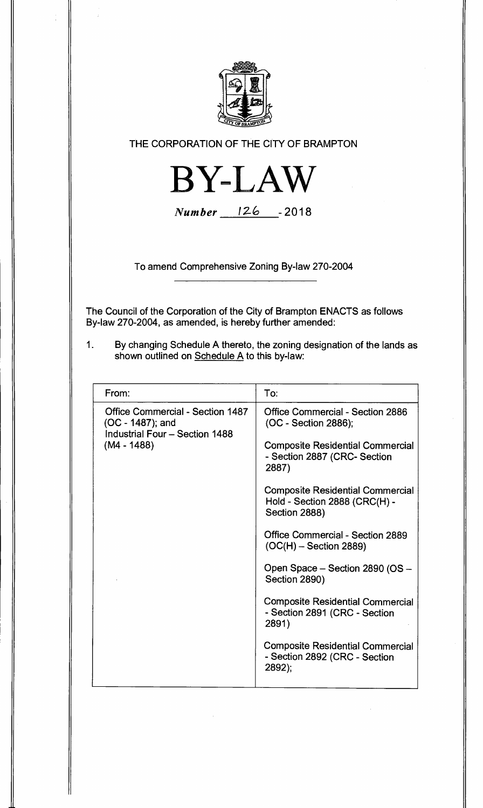

**THE CORPORATION OF THE CITY OF BRAMPTON** 



**Number 126 -2018** 

**To amend Comprehensive Zoning By-law 270-2004** 

**The Council of the Corporation of the City of Brampton ENACTS as follows By-law 270-2004, as amended, is hereby further amended:** 

**1. By changing Schedule A thereto, the zoning designation of the lands as shown outlined on Schedule A to this by-law:** 

| From:                                                                                         | To:                                                                                       |
|-----------------------------------------------------------------------------------------------|-------------------------------------------------------------------------------------------|
| <b>Office Commercial - Section 1487</b><br>(OC - 1487); and<br>Industrial Four - Section 1488 | <b>Office Commercial - Section 2886</b><br>(OC - Section 2886);                           |
| $(M4 - 1488)$                                                                                 | <b>Composite Residential Commercial</b><br>- Section 2887 (CRC- Section<br>2887)          |
|                                                                                               | <b>Composite Residential Commercial</b><br>Hold - Section 2888 (CRC(H) -<br>Section 2888) |
|                                                                                               | <b>Office Commercial - Section 2889</b><br>$(OC(H) - Section 2889)$                       |
|                                                                                               | Open Space - Section 2890 (OS -<br>Section 2890)                                          |
|                                                                                               | <b>Composite Residential Commercial</b><br>- Section 2891 (CRC - Section<br>2891)         |
|                                                                                               | <b>Composite Residential Commercial</b><br>- Section 2892 (CRC - Section<br>2892);        |
|                                                                                               |                                                                                           |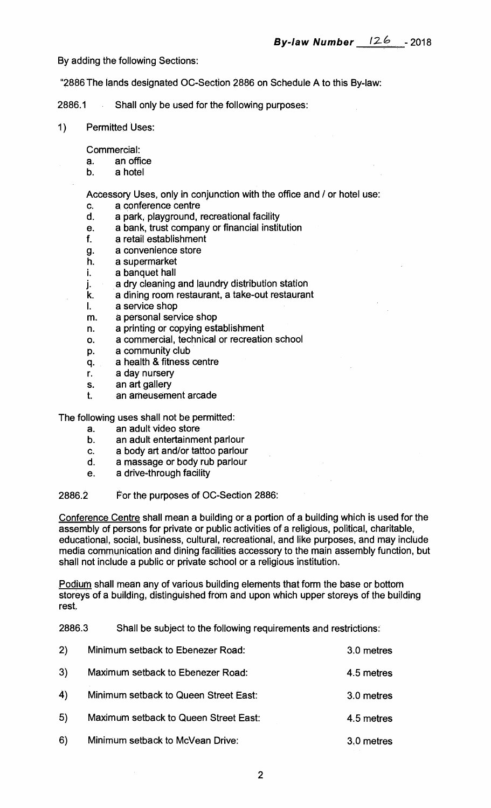**By adding the following Sections:** 

**"2886 The lands designated OC-Section 2886 on Schedule A to this By-law:** 

**2886.1 Shall only be used for the following purposes:** 

**1) Permitted Uses:** 

**Commercial:** 

- **a. an office**
- **b. a hotel**

**Accessory Uses, only in conjunction with the office and / or hotel use:** 

- **c. a conference centre**
- **d. a park, playground, recreational facility**
- **e. a bank, trust company or financial institution**
- **f. a retail establishment**
- **g. a convenience store**
- **h. a supermarket**
- **i. a banquet hall**
- **j. a dry cleaning and laundry distribution station**
- **k. a dining room restaurant, a take-out restaurant**
- I. **a service shop**
- **m. a personal service shop**
- **n. a printing or copying establishment**
- **o. a commercial, technical or recreation school**
- **p. a community club**
- **q. a health & fitness centre**
- **r. a day nursery**
- **s. an art gallery**
- **t. an ameusement arcade**

**The following uses shall not be permitted:** 

- **a. an adult video store**
- **b. an adult entertainment parlour**
- **c. a body art and/or tattoo parlour**
- **d. a massage or body rub parlour**
- **e. a drive-through facility**

**2886.2 For the purposes of OC-Section 2886:** 

**Conference Centre shall mean a building or a portion of a building which is used for the assembly of persons for private or public activities of a religious, political, charitable, educational, social, business, cultural, recreational, and like purposes, and may include media communication and dining facilities accessory to the main assembly function, but shall not include a public or private school or a religious institution.** 

**Podium shall mean any of various building elements that form the base or bottom storeys of a building, distinguished from and upon which upper storeys of the building rest.** 

**2886.3 Shall be subject to the following requirements and restrictions:** 

| 2)             | Minimum setback to Ebenezer Road:     | 3.0 metres |
|----------------|---------------------------------------|------------|
| 3)             | Maximum setback to Ebenezer Road:     | 4.5 metres |
| $\overline{4}$ | Minimum setback to Queen Street East: | 3.0 metres |
| 5)             | Maximum setback to Queen Street East: | 4.5 metres |
| 6)             | Minimum setback to McVean Drive:      | 3.0 metres |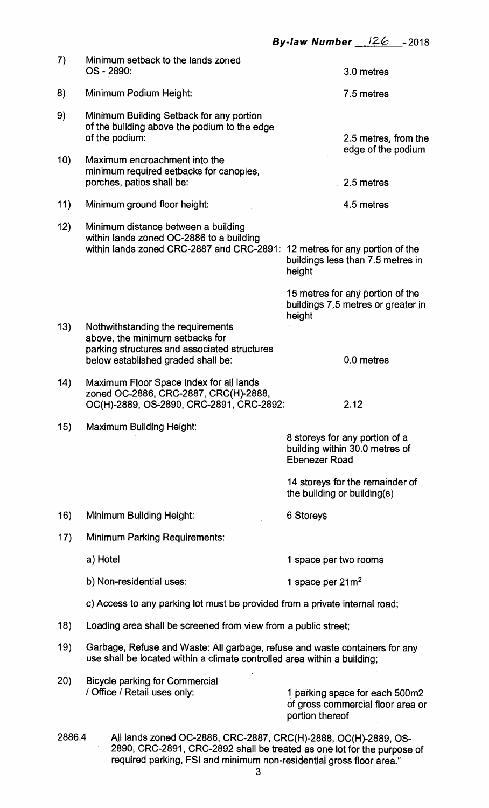| 7)     | Minimum setback to the lands zoned<br>OS - 2890:                                                                                                              |                             | 3.0 metres                                                             |
|--------|---------------------------------------------------------------------------------------------------------------------------------------------------------------|-----------------------------|------------------------------------------------------------------------|
| 8)     | Minimum Podium Height:                                                                                                                                        |                             | 7.5 metres                                                             |
| 9)     | Minimum Building Setback for any portion<br>of the building above the podium to the edge<br>of the podium:                                                    |                             | 2.5 metres, from the                                                   |
| 10)    | Maximum encroachment into the<br>minimum required setbacks for canopies,<br>porches, patios shall be:                                                         |                             | edge of the podium<br>2.5 metres                                       |
| 11)    | Minimum ground floor height:                                                                                                                                  |                             | 4.5 metres                                                             |
| 12)    | Minimum distance between a building<br>within lands zoned OC-2886 to a building<br>within lands zoned CRC-2887 and CRC-2891: 12 metres for any portion of the | height                      | buildings less than 7.5 metres in                                      |
|        |                                                                                                                                                               | height                      | 15 metres for any portion of the<br>buildings 7.5 metres or greater in |
| 13)    | Nothwithstanding the requirements<br>above, the minimum setbacks for<br>parking structures and associated structures<br>below established graded shall be:    |                             | 0.0 metres                                                             |
| (14)   | Maximum Floor Space Index for all lands<br>zoned OC-2886, CRC-2887, CRC(H)-2888,<br>OC(H)-2889, OS-2890, CRC-2891, CRC-2892:                                  |                             | 2.12                                                                   |
| 15)    | <b>Maximum Building Height:</b>                                                                                                                               | <b>Ebenezer Road</b>        | 8 storeys for any portion of a<br>building within 30.0 metres of       |
|        |                                                                                                                                                               | the building or building(s) | 14 storeys for the remainder of                                        |
| 16)    | <b>Minimum Building Height:</b>                                                                                                                               | 6 Storeys                   |                                                                        |
| 17)    | <b>Minimum Parking Requirements:</b>                                                                                                                          |                             |                                                                        |
|        | a) Hotel                                                                                                                                                      | 1 space per two rooms       |                                                                        |
|        | b) Non-residential uses:                                                                                                                                      | 1 space per $21m^2$         |                                                                        |
|        | c) Access to any parking lot must be provided from a private internal road;                                                                                   |                             |                                                                        |
| 18)    | Loading area shall be screened from view from a public street;                                                                                                |                             |                                                                        |
| 19)    | Garbage, Refuse and Waste: All garbage, refuse and waste containers for any<br>use shall be located within a climate controlled area within a building;       |                             |                                                                        |
| 20)    | <b>Bicycle parking for Commercial</b><br>/ Office / Retail uses only:                                                                                         | portion thereof             | 1 parking space for each 500m2<br>of gross commercial floor area or    |
| 2886.4 | All lands zoned OC-2886, CRC-2887, CRC(H)-2888, OC(H)-2889, OS-                                                                                               |                             |                                                                        |

**2890, CRC-2891, CRC-2892 shall be treated as one lot for the purpose of required parking, FSI and minimum non-residential gross floor area."**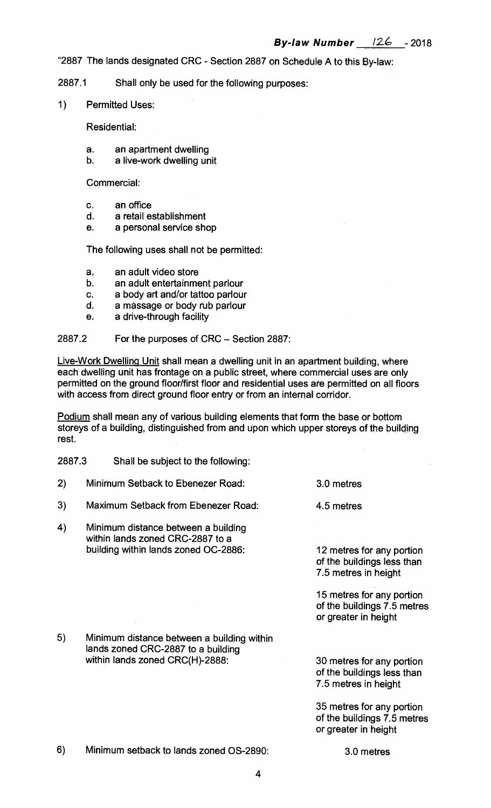**"2887 The lands designated CRC - Section 2887 on Schedule A to this By-law:** 

**2887.1 Shall only be used for the following purposes:** 

**1) Permitted Uses:** 

**Residential:** 

- a an apartment dwelling<br>b. a live-work dwelling un
- a live-work dwelling unit

**Commercial:** 

- **c. an office**
- **d. a retail establishment**
- **e. a personal service shop**

**The following uses shall not be permitted:** 

- **a. an adult video store**
- **b. an adult entertainment parlour**
- **c. a body art and/or tattoo parlour**
- **d. a massage or body rub parlour**
- **e. a drive-through facility**

## **2887.2 For the purposes of CRC — Section 2887:**

**Live-Work Dwelling Unit shall mean a dwelling unit in an apartment building, where each dwelling unit has frontage on a public street, where commercial uses are only permitted on the ground floor/first floor and residential uses are permitted on all floors with access from direct ground floor entry or from an internal corridor.** 

**Podium shall mean any of various building elements that form the base or bottom storeys of a building, distinguished from and upon which upper storeys of the building rest.** 

| 2887.3 | Shall be subject to the following:                                                                                  |                                                                                  |
|--------|---------------------------------------------------------------------------------------------------------------------|----------------------------------------------------------------------------------|
| 2)     | Minimum Setback to Ebenezer Road:                                                                                   | 3.0 metres                                                                       |
| 3)     | Maximum Setback from Ebenezer Road:                                                                                 | 4.5 metres                                                                       |
| 4)     | Minimum distance between a building<br>within lands zoned CRC-2887 to a<br>building within lands zoned OC-2886:     | 12 metres for any portion<br>of the buildings less than<br>7.5 metres in height  |
|        |                                                                                                                     | 15 metres for any portion<br>of the buildings 7.5 metres<br>or greater in height |
| 5)     | Minimum distance between a building within<br>lands zoned CRC-2887 to a building<br>within lands zoned CRC(H)-2888: | 30 metres for any portion<br>of the buildings less than<br>7.5 metres in height  |
|        |                                                                                                                     | 35 metres for any portion<br>of the buildings 7.5 metres<br>or greater in height |
| 6)     | Minimum setback to lands zoned OS-2890:                                                                             | 3.0 metres                                                                       |
|        | 4                                                                                                                   |                                                                                  |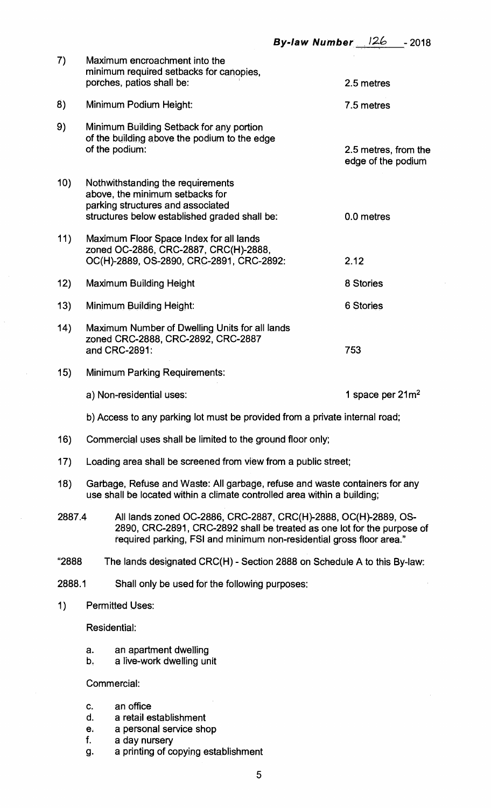| 7)     | Maximum encroachment into the<br>minimum required setbacks for canopies,<br>porches, patios shall be:                                                                                                              | 2.5 metres                                 |  |
|--------|--------------------------------------------------------------------------------------------------------------------------------------------------------------------------------------------------------------------|--------------------------------------------|--|
| 8)     | Minimum Podium Height:                                                                                                                                                                                             | 7.5 metres                                 |  |
| 9)     | Minimum Building Setback for any portion<br>of the building above the podium to the edge<br>of the podium:                                                                                                         | 2.5 metres, from the<br>edge of the podium |  |
| 10)    | Nothwithstanding the requirements<br>above, the minimum setbacks for<br>parking structures and associated<br>structures below established graded shall be:                                                         | 0.0 metres                                 |  |
| 11)    | Maximum Floor Space Index for all lands<br>zoned OC-2886, CRC-2887, CRC(H)-2888,<br>OC(H)-2889, OS-2890, CRC-2891, CRC-2892:                                                                                       | 2.12                                       |  |
| 12)    | <b>Maximum Building Height</b>                                                                                                                                                                                     | 8 Stories                                  |  |
| 13)    | <b>Minimum Building Height:</b>                                                                                                                                                                                    | 6 Stories                                  |  |
| (14)   | Maximum Number of Dwelling Units for all lands<br>zoned CRC-2888, CRC-2892, CRC-2887<br>and CRC-2891:                                                                                                              | 753                                        |  |
| 15)    | <b>Minimum Parking Requirements:</b>                                                                                                                                                                               |                                            |  |
|        | a) Non-residential uses:                                                                                                                                                                                           | 1 space per $21m^2$                        |  |
|        | b) Access to any parking lot must be provided from a private internal road;                                                                                                                                        |                                            |  |
| 16)    | Commercial uses shall be limited to the ground floor only;                                                                                                                                                         |                                            |  |
| 17)    | Loading area shall be screened from view from a public street;                                                                                                                                                     |                                            |  |
| (18)   | Garbage, Refuse and Waste: All garbage, refuse and waste containers for any<br>use shall be located within a climate controlled area within a building;                                                            |                                            |  |
| 2887.4 | All lands zoned OC-2886, CRC-2887, CRC(H)-2888, OC(H)-2889, OS-<br>2890, CRC-2891, CRC-2892 shall be treated as one lot for the purpose of<br>required parking, FSI and minimum non-residential gross floor area." |                                            |  |
| "2888  | The lands designated CRC(H) - Section 2888 on Schedule A to this By-law:                                                                                                                                           |                                            |  |
| 2888.1 | Shall only be used for the following purposes:                                                                                                                                                                     |                                            |  |
|        |                                                                                                                                                                                                                    |                                            |  |

**1) Permitted Uses:** 

**Residential:** 

- **a. an apartment dwelling**
- **b. a live-work dwelling unit**

**Commercial:** 

- **c. an office**
- **d. a retail establishment**
- **e. a personal service shop**
- **f. a day nursery**
- **g. a printing of copying establishment**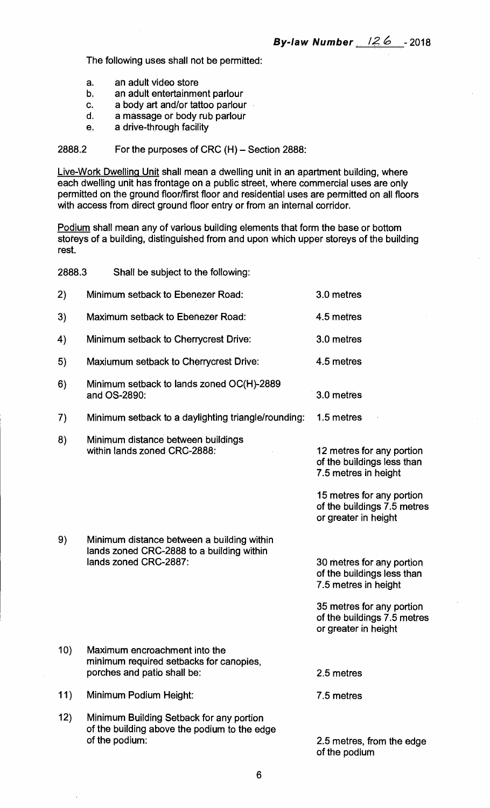**The following uses shall not be permitted:** 

- **a. an adult video store**
- **b. an adult entertainment parlour**
- **c. a body art and/or tattoo parlour**
- **d. a massage or body rub parlour**
- **e. a drive-through facility**

**2888.2 For the purposes of CRC (H) — Section 2888:** 

**Live-Work Dwelling Unit shall mean a dwelling unit in an apartment building, where each dwelling unit has frontage on a public street, where commercial uses are only permitted on the ground floor/first floor and residential uses are permitted on all floors with access from direct ground floor entry or from an internal corridor.** 

**Podium shall mean any of various building elements that form the base or bottom storeys of a building, distinguished from and upon which upper storeys of the building rest.** 

| 2888.3 | Shall be subject to the following:                                                                         |                                                                                  |
|--------|------------------------------------------------------------------------------------------------------------|----------------------------------------------------------------------------------|
| 2)     | Minimum setback to Ebenezer Road:                                                                          | 3.0 metres                                                                       |
| 3)     | Maximum setback to Ebenezer Road:                                                                          | 4.5 metres                                                                       |
| 4)     | Minimum setback to Cherrycrest Drive:                                                                      | 3.0 metres                                                                       |
| 5)     | Maxiumum setback to Cherrycrest Drive:                                                                     | 4.5 metres                                                                       |
| 6)     | Minimum setback to lands zoned OC(H)-2889<br>and OS-2890:                                                  | 3.0 metres                                                                       |
| 7)     | Minimum setback to a daylighting triangle/rounding:                                                        | 1.5 metres                                                                       |
| 8)     | Minimum distance between buildings<br>within lands zoned CRC-2888:                                         | 12 metres for any portion<br>of the buildings less than<br>7.5 metres in height  |
|        |                                                                                                            | 15 metres for any portion<br>of the buildings 7.5 metres<br>or greater in height |
| 9)     | Minimum distance between a building within                                                                 |                                                                                  |
|        | lands zoned CRC-2888 to a building within<br>lands zoned CRC-2887:                                         | 30 metres for any portion<br>of the buildings less than<br>7.5 metres in height  |
|        |                                                                                                            | 35 metres for any portion<br>of the buildings 7.5 metres<br>or greater in height |
| 10)    | Maximum encroachment into the<br>minimum required setbacks for canopies,<br>porches and patio shall be:    | 2.5 metres                                                                       |
| 11)    | Minimum Podium Height:                                                                                     | 7.5 metres                                                                       |
| 12)    | Minimum Building Setback for any portion<br>of the building above the podium to the edge<br>of the podium: | 2.5 metres, from the edge<br>of the podium                                       |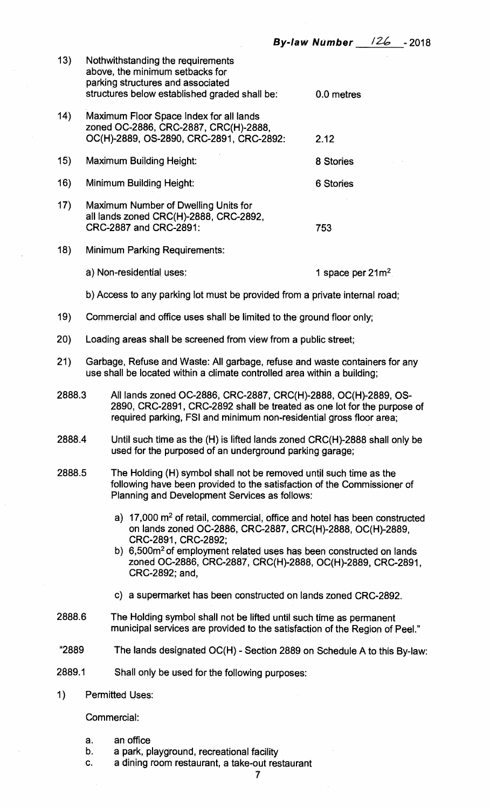| 13)                                                                                                                                                                                                      |                                                                                                                                                                                                                             | Nothwithstanding the requirements<br>above, the minimum setbacks for<br>parking structures and associated<br>structures below established graded shall be:                   | 0.0 metres                   |
|----------------------------------------------------------------------------------------------------------------------------------------------------------------------------------------------------------|-----------------------------------------------------------------------------------------------------------------------------------------------------------------------------------------------------------------------------|------------------------------------------------------------------------------------------------------------------------------------------------------------------------------|------------------------------|
| (14)                                                                                                                                                                                                     |                                                                                                                                                                                                                             | Maximum Floor Space Index for all lands<br>zoned OC-2886, CRC-2887, CRC(H)-2888,<br>OC(H)-2889, OS-2890, CRC-2891, CRC-2892:                                                 | 2.12                         |
| (15)                                                                                                                                                                                                     |                                                                                                                                                                                                                             | <b>Maximum Building Height:</b>                                                                                                                                              | 8 Stories                    |
| 16)                                                                                                                                                                                                      |                                                                                                                                                                                                                             | Minimum Building Height:                                                                                                                                                     | 6 Stories                    |
| 17)                                                                                                                                                                                                      |                                                                                                                                                                                                                             | Maximum Number of Dwelling Units for<br>all lands zoned CRC(H)-2888, CRC-2892,<br>CRC-2887 and CRC-2891:                                                                     | 753                          |
| 18)                                                                                                                                                                                                      |                                                                                                                                                                                                                             | <b>Minimum Parking Requirements:</b>                                                                                                                                         |                              |
|                                                                                                                                                                                                          |                                                                                                                                                                                                                             | a) Non-residential uses:                                                                                                                                                     | 1 space per 21m <sup>2</sup> |
|                                                                                                                                                                                                          |                                                                                                                                                                                                                             | b) Access to any parking lot must be provided from a private internal road;                                                                                                  |                              |
| 19)                                                                                                                                                                                                      |                                                                                                                                                                                                                             | Commercial and office uses shall be limited to the ground floor only;                                                                                                        |                              |
| 20)                                                                                                                                                                                                      |                                                                                                                                                                                                                             | Loading areas shall be screened from view from a public street;                                                                                                              |                              |
| 21)                                                                                                                                                                                                      | Garbage, Refuse and Waste: All garbage, refuse and waste containers for any<br>use shall be located within a climate controlled area within a building;                                                                     |                                                                                                                                                                              |                              |
|                                                                                                                                                                                                          | All lands zoned OC-2886, CRC-2887, CRC(H)-2888, OC(H)-2889, OS-<br>2888.3<br>2890, CRC-2891, CRC-2892 shall be treated as one lot for the purpose of<br>required parking, FSI and minimum non-residential gross floor area; |                                                                                                                                                                              |                              |
| 2888.4                                                                                                                                                                                                   |                                                                                                                                                                                                                             | Until such time as the (H) is lifted lands zoned CRC(H)-2888 shall only be<br>used for the purposed of an underground parking garage;                                        |                              |
| 2888.5<br>The Holding (H) symbol shall not be removed until such time as the<br>following have been provided to the satisfaction of the Commissioner of<br>Planning and Development Services as follows: |                                                                                                                                                                                                                             |                                                                                                                                                                              |                              |
|                                                                                                                                                                                                          |                                                                                                                                                                                                                             | a) $17,000$ $\mathrm{m}^2$ of retail, commercial, office and hotel has been constructed<br>on lands zoned OC-2886, CRC-2887, CRC(H)-2888, OC(H)-2889,<br>CRC-2891, CRC-2892; |                              |
|                                                                                                                                                                                                          |                                                                                                                                                                                                                             | b) 6,500m <sup>2</sup> of employment related uses has been constructed on lands<br>zoned OC-2886, CRC-2887, CRC(H)-2888, OC(H)-2889, CRC-2891,<br>CRC-2892; and,             |                              |
|                                                                                                                                                                                                          |                                                                                                                                                                                                                             | c) a supermarket has been constructed on lands zoned CRC-2892.                                                                                                               |                              |
| 2888.6                                                                                                                                                                                                   |                                                                                                                                                                                                                             | The Holding symbol shall not be lifted until such time as permanent<br>municipal services are provided to the satisfaction of the Region of Peel."                           |                              |
| "2889                                                                                                                                                                                                    |                                                                                                                                                                                                                             | The lands designated OC(H) - Section 2889 on Schedule A to this By-law:                                                                                                      |                              |
| 2889.1                                                                                                                                                                                                   |                                                                                                                                                                                                                             | Shall only be used for the following purposes:                                                                                                                               |                              |
| 1)                                                                                                                                                                                                       |                                                                                                                                                                                                                             | <b>Permitted Uses:</b>                                                                                                                                                       |                              |
|                                                                                                                                                                                                          |                                                                                                                                                                                                                             | Commercial:                                                                                                                                                                  |                              |
|                                                                                                                                                                                                          |                                                                                                                                                                                                                             |                                                                                                                                                                              |                              |

- **a. an office**
- **b. a park, playground, recreational facility**
- **c. a dining room restaurant, a take-out restaurant**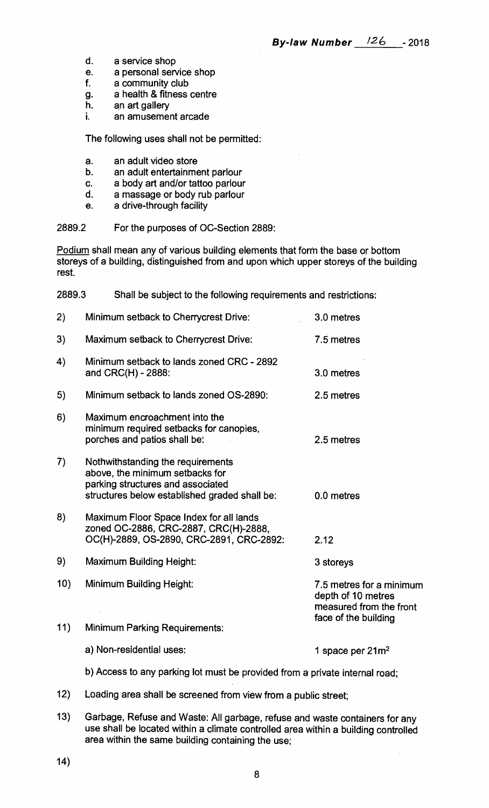- **d. a service shop**
- **e. a personal service shop**
- **f. a community club**
- **9. a health & fitness centre**
- **h. an art gallery**
- **i. an amusement arcade**

**The following uses shall not be permitted:** 

- **a. an adult video store**
- **b. an adult entertainment parlour**
- **c. a body art and/or tattoo parlour**
- **d. a massage or body rub parlour**
- **e. a drive-through facility**

**2889.2 For the purposes of OC-Section 2889:** 

**Podium shall mean any of various building elements that form the base or bottom storeys of a building, distinguished from and upon which upper storeys of the building rest.** 

**2889.3 Shall be subject to the following requirements and restrictions:** 

| 2)         | Minimum setback to Cherrycrest Drive:                                                                                                                      | 3.0 metres                                                                                        |
|------------|------------------------------------------------------------------------------------------------------------------------------------------------------------|---------------------------------------------------------------------------------------------------|
| 3)         | Maximum setback to Cherrycrest Drive:                                                                                                                      | 7.5 metres                                                                                        |
| 4)         | Minimum setback to lands zoned CRC - 2892<br>and CRC(H) - 2888:                                                                                            | 3.0 metres                                                                                        |
| 5)         | Minimum setback to lands zoned OS-2890:                                                                                                                    | 2.5 metres                                                                                        |
| 6)         | Maximum encroachment into the<br>minimum required setbacks for canopies,<br>porches and patios shall be:                                                   | 2.5 metres                                                                                        |
| 7)         | Nothwithstanding the requirements<br>above, the minimum setbacks for<br>parking structures and associated<br>structures below established graded shall be: | 0.0 metres                                                                                        |
| 8)         | Maximum Floor Space Index for all lands<br>zoned OC-2886, CRC-2887, CRC(H)-2888,<br>OC(H)-2889, OS-2890, CRC-2891, CRC-2892:                               | 2.12                                                                                              |
| 9)         | <b>Maximum Building Height:</b>                                                                                                                            | 3 storeys                                                                                         |
| 10)<br>11) | Minimum Building Height:                                                                                                                                   | 7.5 metres for a minimum<br>depth of 10 metres<br>measured from the front<br>face of the building |
|            | <b>Minimum Parking Requirements:</b>                                                                                                                       |                                                                                                   |
|            | a) Non-residential uses:                                                                                                                                   | 1 space per $21m^2$                                                                               |
|            |                                                                                                                                                            |                                                                                                   |

**b) Access to any parking lot must be provided from a private internal road;** 

- **12) Loading area shall be screened from view from a public street;**
- **13) Garbage, Refuse and Waste: All garbage, refuse and waste containers for any use shall be located within a climate controlled area within a building controlled area within the same building containing the use;**
- **14)**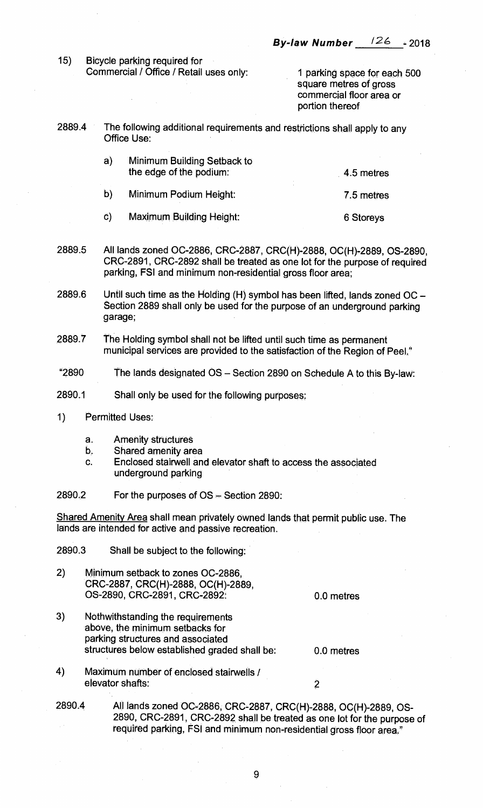**15) Bicycle parking required for Commercial / Office / Retail uses only: 1 parking space for each 500** 

**square metres of gross commercial floor area or portion thereof** 

**2889.4 The following additional requirements and restrictions shall apply to any Office Use:** 

| a)            | Minimum Building Setback to<br>the edge of the podium: | 4.5 metres |
|---------------|--------------------------------------------------------|------------|
| $\mathbf{b}$  | Minimum Podium Height:                                 | 7.5 metres |
| $\mathbf{C})$ | <b>Maximum Building Height:</b>                        | 6 Storeys  |

- **2889.5 All lands zoned OC-2886, CRC-2887, CRC(H)-2888, OC(H)-2889, OS-2890, CRC-2891, CRC-2892 shall be treated as one lot for the purpose of required parking, FSI and minimum non-residential gross floor area;**
- **2889.6 Until such time as the Holding (H) symbol has been lifted, lands zoned OC — Section 2889 shall only be used for the purpose of an underground parking garage;**
- **2889.7 The Holding symbol shall not be lifted until such time as permanent municipal services are provided to the satisfaction of the Region of Peel."**
- **"2890 The lands designated OS Section 2890 on Schedule A to this By-law:**
- **2890.1 Shall only be used for the following purposes:**
- **1) Permitted Uses:** 
	- **a. Amenity structures**
	- **b. Shared amenity area**
	- **c. Enclosed stairwell and elevator shaft to access the associated underground parking**
- **2890.2 For the purposes of OS Section 2890:**

**Shared Amenity Area shall mean privately owned lands that permit public use. The lands are intended for active and passive recreation.** 

**2890.3 Shall be subject to the following:** 

**2) Minimum setback to zones OC-2886, CRC-2887, CRC(H)-2888, OC(H)-2889, OS-2890, CRC-2891, CRC-2892:** 

**0.0 metres** 

**0.0 metres** 

- 3) **Nothwithstanding the requirements above, the minimum setbacks for parking structures and associated structures below established graded shall be:**
- **4) Maximum number of enclosed stairwells / elevator shafts: 2**

## **2890.4 All lands zoned 0C-2886, CRC-2887, CRC(H)-2888, OC(H)-2889, OS-2890, CRC-2891, CRC-2892 shall be treated as one lot for the purpose of required parking, FSI and minimum non-residential gross floor area"**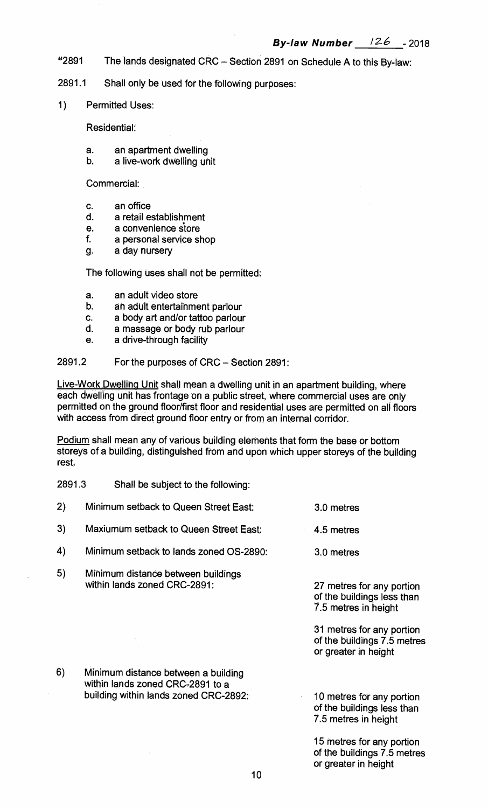- **"2891 The lands designated CRC Section 2891 on Schedule A to this By-law:**
- **2891.1 Shall only be used for the following purposes:**
- **1) Permitted Uses:**

**Residential:** 

- **a. an apartment dwelling**
- **b. a live-work dwelling unit**

**Commercial:** 

- **c. an office**
- **d. a retail establishment**
- **e. a convenience store**
- **f. a personal service shop**
- **g. a day nursery**

**The following uses shall not be permitted:** 

- **a. an adult video store**
- **b. an adult entertainment parlour**
- **c. a body art and/or tattoo parlour**
- **d. a massage or body rub parlour**
- **e. a drive-through facility**

## **2891.2 For the purposes of CRC — Section 2891:**

**Live-Work Dwelling Unit shall mean a dwelling unit in an apartment building, where each dwelling unit has frontage on a public street, where commercial uses are only permitted on the ground floor/first floor and residential uses are permitted on all floors with access from direct ground floor entry or from an internal corridor.** 

**Podium shall mean any of various building elements that form the base or bottom storeys of a building, distinguished from and upon which upper storeys of the building rest.** 

**2891.3 Shall be subject to the following:** 

| 2) | Minimum setback to Queen Street East:                                                                            | 3.0 metres                                                                       |
|----|------------------------------------------------------------------------------------------------------------------|----------------------------------------------------------------------------------|
| 3) | Maxiumum setback to Queen Street East:                                                                           | 4.5 metres                                                                       |
| 4) | Minimum setback to lands zoned OS-2890:                                                                          | 3.0 metres                                                                       |
| 5) | Minimum distance between buildings<br>within lands zoned CRC-2891:                                               | 27 metres for any portion<br>of the buildings less than<br>7.5 metres in height  |
|    |                                                                                                                  | 31 metres for any portion<br>of the buildings 7.5 metres<br>or greater in height |
| 6) | Minimum distance between a building<br>within lands zoned CRC-2891 to a<br>building within lands zoned CRC-2892: | 10 metres for any portion<br>of the buildings less than<br>7.5 metres in height  |
|    |                                                                                                                  | 15 metres for any portion<br>of the buildings 7.5 metres<br>or greater in height |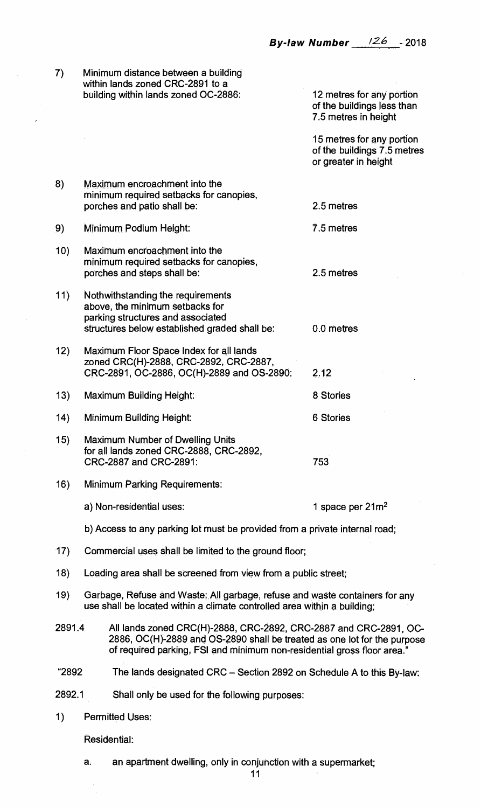$\overline{7}$ **Minimum distance between a building within lands zoned CRC-2891 to a building within lands zoned OC-2886: 12 metres for any portion** 

**of the buildings less than 7.5 metres in height** 

**15 metres for any portion of the buildings 7.5 metres or greater in height** 

- **8) Maximum encroachment into the minimum required setbacks for canopies, porches and patio shall be: 2.5 metres**
- **9) Minimum Podium Height: 7.5 metres**
- **10) Maximum encroachment into the minimum required setbacks for canopies, porches and steps shall be: 2.5 metres**
- **11) Nothwithstanding the requirements above, the minimum setbacks for parking structures and associated structures below established graded shall be: 0.0 metres**
- **12) Maximum Floor Space Index for all lands zoned CRC(H)-2888, CRC-2892, CRC-2887, CRC-2891, OC-2886, OC(H)-2889 and OS-2890: 2.12**
- **13) Maximum Building Height: 8 Stories 14) Minimum Building Height: 6 Stories 15) Maximum Number of Dwelling Units**
- **for all lands zoned CRC-2888, CRC-2892, CRC-2887 and CRC-2891: 753**
- **16) Minimum Parking Requirements:** 
	- a) Non-residential uses: 1 space per 21m<sup>2</sup>
	- **b) Access to any parking lot must be provided from a private internal road;**
- **17) Commercial uses shall be limited to the ground floor;**
- **18) Loading area shall be screened from view from a public street;**
- 19) Garbage, Refuse and Waste: All garbage, refuse and waste containers for any **use shall be located within a climate controlled area within a building;**
- **2891.4 All lands zoned CRC(H)-2888, CRC-2892, CRC-2887 and CRC-2891, 0C-2886, OC(H)-2889 and OS-2890 shall be treated as one lot for the purpose of required parking, FSI and minimum non-residential gross floor area."**
- **"2892 The lands designated CRC Section 2892 on Schedule A to this By-law:**
- **2892.1 Shall only be used for the following purposes:**
- **1) Permitted Uses:**

**Residential:** 

**a. an apartment dwelling, only in conjunction with a supermarket;**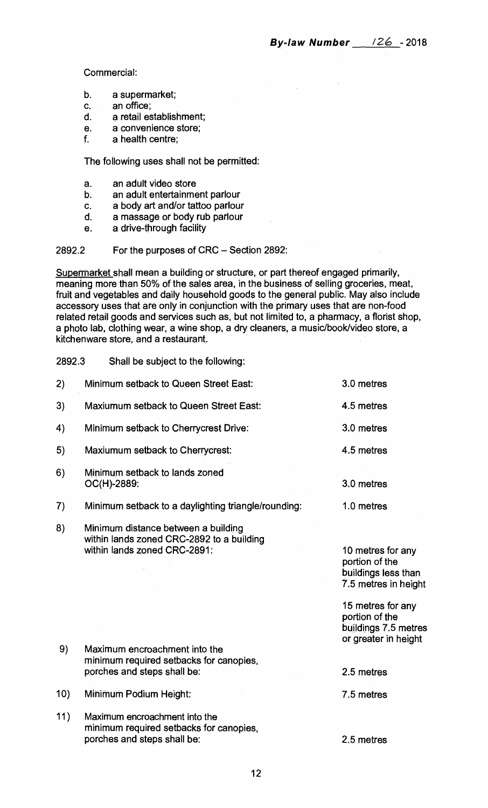**Commercial:** 

- **b. a supermarket;**
- **c. an office;**
- **d. a retail establishment;**
- **e. a convenience store;**
- **f. a health centre;**

**The following uses shall not be permitted:** 

- **a. an adult video store**
- **b. an adult entertainment parlour**
- **c. a body art and/or tattoo parlour**
- **d. a massage or body rub parlour**
- **e. a drive-through facility**

## **2892.2 For the purposes of CRC — Section 2892:**

**Supermarket shall mean a building or structure, or part thereof engaged primarily, meaning more than 50% of the sales area, in the business of selling groceries, meat, fruit and vegetables and daily household goods to the general public. May also include accessory uses that are only in conjunction with the primary uses that are non-food related retail goods and services such as, but not limited to, a pharmacy, a florist shop, a photo lab, clothing wear, a wine shop, a dry cleaners, a music/book/video store, a kitchenware store, and a restaurant.** 

**2892.3 Shall be subject to the following:** 

| 2)  | Minimum setback to Queen Street East:                                                                            | 3.0 metres                                                                           |
|-----|------------------------------------------------------------------------------------------------------------------|--------------------------------------------------------------------------------------|
| 3)  | <b>Maxiumum setback to Queen Street East:</b>                                                                    | 4.5 metres                                                                           |
| 4)  | Minimum setback to Cherrycrest Drive:                                                                            | 3.0 metres                                                                           |
| 5)  | Maxiumum setback to Cherrycrest:                                                                                 | 4.5 metres                                                                           |
| 6)  | Minimum setback to lands zoned<br>OC(H)-2889:                                                                    | 3.0 metres                                                                           |
| 7)  | Minimum setback to a daylighting triangle/rounding:                                                              | 1.0 metres                                                                           |
| 8)  | Minimum distance between a building<br>within lands zoned CRC-2892 to a building<br>within lands zoned CRC-2891: | 10 metres for any<br>portion of the<br>buildings less than<br>7.5 metres in height   |
| 9)  | Maximum encroachment into the                                                                                    | 15 metres for any<br>portion of the<br>buildings 7.5 metres<br>or greater in height. |
|     | minimum required setbacks for canopies,<br>porches and steps shall be:                                           | 2.5 metres                                                                           |
| 10) | Minimum Podium Height:                                                                                           | 7.5 metres                                                                           |
| 11) | Maximum encroachment into the<br>minimum required setbacks for canopies,<br>porches and steps shall be:          | 2.5 metres                                                                           |
|     |                                                                                                                  |                                                                                      |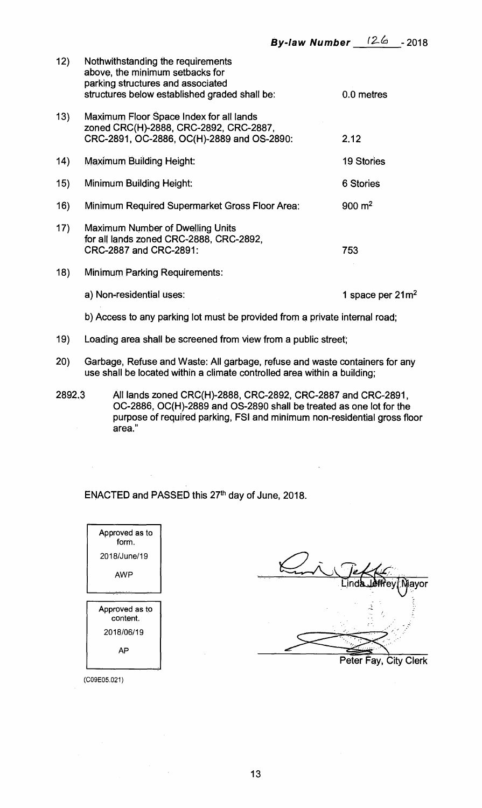| 12) | Nothwithstanding the requirements<br>above, the minimum setbacks for<br>parking structures and associated<br>structures below established graded shall be: | 0.0 metres          |
|-----|------------------------------------------------------------------------------------------------------------------------------------------------------------|---------------------|
| 13) | Maximum Floor Space Index for all lands<br>zoned CRC(H)-2888, CRC-2892, CRC-2887,<br>CRC-2891, OC-2886, OC(H)-2889 and OS-2890:                            | 2.12                |
| 14) | <b>Maximum Building Height:</b>                                                                                                                            | <b>19 Stories</b>   |
| 15) | <b>Minimum Building Height:</b>                                                                                                                            | 6 Stories           |
| 16) | Minimum Required Supermarket Gross Floor Area:                                                                                                             | $900 \; \text{m}^2$ |
| 17) | <b>Maximum Number of Dwelling Units</b><br>for all lands zoned CRC-2888, CRC-2892,<br>CRC-2887 and CRC-2891:                                               | 753                 |
| 18) | <b>Minimum Parking Requirements:</b>                                                                                                                       |                     |
|     | a) Non-residential uses:                                                                                                                                   | 1 space per $21m^2$ |
|     | b) Access to any parking lot must be provided from a private internal road;                                                                                |                     |

- **19) Loading area shall be screened from view from a public street;**
- **20) Garbage, Refuse and Waste: All garbage, refuse and waste containers for any use shall be located within a climate controlled area within a building;**
- **2892.3 All lands zoned CRC(H)-2888, CRC-2892, CRC-2887 and CRC-2891, OC-2886, OC(H)-2889 and OS-2890 shall be treated as one lot for the purpose of required parking, FSI and minimum non-residential gross floor area."**

**ENACTED and PASSED this 27th day of June, 2018.** 

| Approved as to<br>form.    |
|----------------------------|
| 2018/June/19               |
| AWP                        |
|                            |
|                            |
| Approved as to<br>content. |
| 2018/06/19                 |
| АP                         |

ayor **Peter Fay, City Clerk** 

(C09E05.021)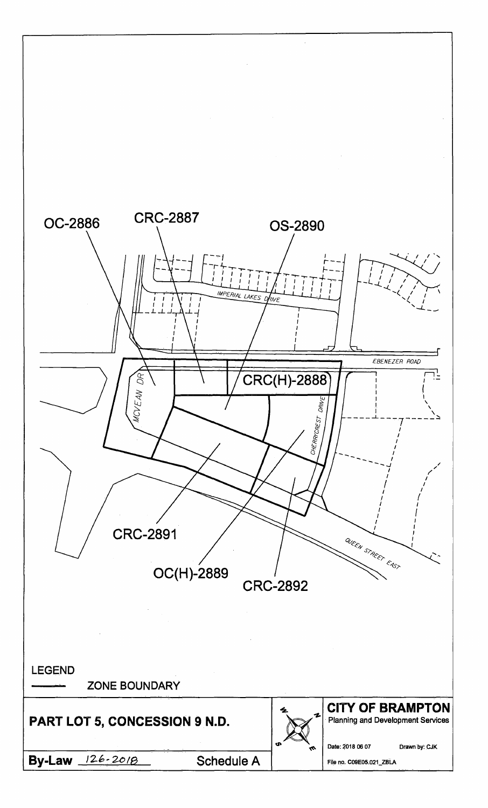